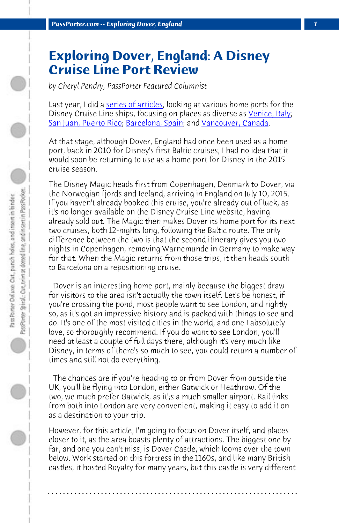*PassPorter.com -- Exploring Dover, England 1*

## **Exploring Dover, England: A Disney Cruise Line Port Review**

*by Cheryl Pendry, PassPorter Featured Columnist*

Last year, I did a series of articles, looking at various home ports for the Disney Cruise Line ships, focusing on places as diverse as *Venice*, Italy; San Juan, Puerto Rico; Barcelona, Spain; and Vancouver, Canada.

At that stage, although Dover, England had once been used as a home port, back in 2010 for Disney's first Baltic cruises, I had no idea that it would soon be returning to use as a home port for Disney in the 2015 cruise season.

The Disney Magic heads first from Copenhagen, Denmark to Dover, via the Norwegian fjords and Iceland, arriving in England on July 10, 2015. If you haven't already booked this cruise, you're already out of luck, as it's no longer available on the Disney Cruise Line website, having already sold out. The Magic then makes Dover its home port for its next two cruises, both 12-nights long, following the Baltic route. The only difference between the two is that the second itinerary gives you two nights in Copenhagen, removing Warnemunde in Germany to make way for that. When the Magic returns from those trips, it then heads south to Barcelona on a repositioning cruise.

 Dover is an interesting home port, mainly because the biggest draw for visitors to the area isn't actually the town itself. Let's be honest, if you're crossing the pond, most people want to see London, and rightly so, as it's got an impressive history and is packed with things to see and do. It's one of the most visited cities in the world, and one I absolutely love, so thoroughly recommend. If you do want to see London, you'll need at least a couple of full days there, although it's very much like Disney, in terms of there's so much to see, you could return a number of times and still not do everything.

 The chances are if you're heading to or from Dover from outside the UK, you'll be flying into London, either Gatwick or Heathrow. Of the two, we much prefer Gatwick, as it';s a much smaller airport. Rail links from both into London are very convenient, making it easy to add it on as a destination to your trip.

However, for this article, I'm going to focus on Dover itself, and places closer to it, as the area boasts plenty of attractions. The biggest one by far, and one you can't miss, is Dover Castle, which looms over the town below. Work started on this fortress in the 1160s, and like many British castles, it hosted Royalty for many years, but this castle is very different

**. . . . . . . . . . . . . . . . . . . . . . . . . . . . . . . . . . . . . . . . . . . . . . . . . . . . . . . . . . . . . . . . . .**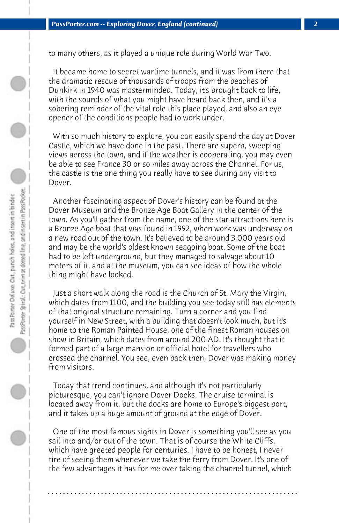to many others, as it played a unique role during World War Two.

 It became home to secret wartime tunnels, and it was from there that the dramatic rescue of thousands of troops from the beaches of Dunkirk in 1940 was masterminded. Today, it's brought back to life, with the sounds of what you might have heard back then, and it's a sobering reminder of the vital role this place played, and also an eye opener of the conditions people had to work under.

 With so much history to explore, you can easily spend the day at Dover Castle, which we have done in the past. There are superb, sweeping views across the town, and if the weather is cooperating, you may even be able to see France 30 or so miles away across the Channel. For us, the castle is the one thing you really have to see during any visit to Dover.

 Another fascinating aspect of Dover's history can be found at the Dover Museum and the Bronze Age Boat Gallery in the center of the town. As you'll gather from the name, one of the star attractions here is a Bronze Age boat that was found in 1992, when work was underway on a new road out of the town. It's believed to be around 3,000 years old and may be the world's oldest known seagoing boat. Some of the boat had to be left underground, but they managed to salvage about 10 meters of it, and at the museum, you can see ideas of how the whole thing might have looked.

 Just a short walk along the road is the Church of St. Mary the Virgin, which dates from 1100, and the building you see today still has elements of that original structure remaining. Turn a corner and you find yourself in New Street, with a building that doesn't look much, but it's home to the Roman Painted House, one of the finest Roman houses on show in Britain, which dates from around 200 AD. It's thought that it formed part of a large mansion or official hotel for travellers who crossed the channel. You see, even back then, Dover was making money from visitors.

 Today that trend continues, and although it's not particularly picturesque, you can't ignore Dover Docks. The cruise terminal is located away from it, but the docks are home to Europe's biggest port, and it takes up a huge amount of ground at the edge of Dover.

 One of the most famous sights in Dover is something you'll see as you sail into and/or out of the town. That is of course the White Cliffs, which have greeted people for centuries. I have to be honest, I never tire of seeing them whenever we take the ferry from Dover. It's one of the few advantages it has for me over taking the channel tunnel, which

**. . . . . . . . . . . . . . . . . . . . . . . . . . . . . . . . . . . . . . . . . . . . . . . . . . . . . . . . . . . . . . . . . .**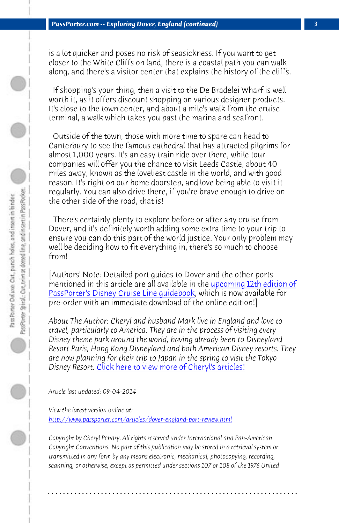is a lot quicker and poses no risk of seasickness. If you want to get closer to the White Cliffs on land, there is a coastal path you can walk along, and there's a visitor center that explains the history of the cliffs.

 If shopping's your thing, then a visit to the De Bradelei Wharf is well worth it, as it offers discount shopping on various designer products. It's close to the town center, and about a mile's walk from the cruise terminal, a walk which takes you past the marina and seafront.

 [Outside of the town, those with more time](http://www.passporterstore.com/store/dcl2015.aspx) to [spare can head to](http://www.passporterstore.com/store/dcl2015.aspx) Canterbury to see the famous cathedral that has attracted pilgrims for almost 1,000 years. It's an easy train ride over there, while tour companies will offer you the chance to visit Leeds Castle, about 40 miles away, known as the loveliest castle in the world, and with good reason. It's right on our home doorstep, and love being able to visit it regularly. You can also drive there, if you're brave enough to drive on the other side of the road, that is!

 There's cert[ainly plenty to explore before or after any cru](http://www.passporter.com/articles/cheryl-pendry-featured-columnist.asp)ise from Dover, and it's definitely worth adding some extra time to your trip to ensure you can do this part of the world justice. Your only problem may well be deciding how to fit everything in, there's so much to choose from!

[Authors' Note: Detailed port guides to Dover and the other ports mentioned in this article are all available in the upcoming 12th edition of PassPorter's Disney Cruise Line guidebook, which is now available for pre-order with an immediate download of the online edition!]

*About The Author: Cheryl and husband Mark live in England and love to travel, particularly to America. They are in the process of visiting every Disney theme park around the world, having already been to Disneyland Resort Paris, Hong Kong Disneyland and both American Disney resorts. They are now planning for their trip to Japan in the spring to visit the Tokyo Disney Resort.* Click here to view more of Cheryl's articles!

*Article last updated: 09-04-2014*

*View the latest version online at: http://www.passporter.com/articles/dover-england-port-review.html*

*Copyright by Cheryl Pendry. All rights reserved under International and Pan-American Copyright Conventions. No part of this publication may be stored in a retrieval system or transmitted in any form by any means electronic, mechanical, photocopying, recording, scanning, or otherwise, except as permitted under sections 107 or 108 of the 1976 United*

**. . . . . . . . . . . . . . . . . . . . . . . . . . . . . . . . . . . . . . . . . . . . . . . . . . . . . . . . . . . . . . . . . .**

 $\bigcirc$